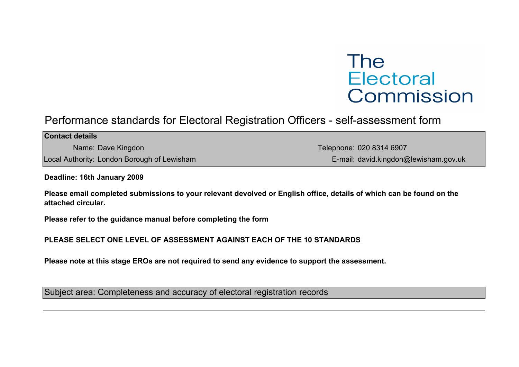## The **Electoral** Commission

## Performance standards for Electoral Registration Officers - self-assessment form

| <b>Contact details</b>                      |                                       |
|---------------------------------------------|---------------------------------------|
| Name: Dave Kingdon                          | Telephone: 020 8314 6907              |
| Local Authority: London Borough of Lewisham | E-mail: david.kingdon@lewisham.gov.uk |

Deadline: 16th January 2009

Please email completed submissions to your relevant devolved or English office, details of which can be found on the attached circular.

Please refer to the guidance manual before completing the form

PLEASE SELECT ONE LEVEL OF ASSESSMENT AGAINST EACH OF THE 10 STANDARDS

Please note at this stage EROs are not required to send any evidence to support the assessment.

Subject area: Completeness and accuracy of electoral registration records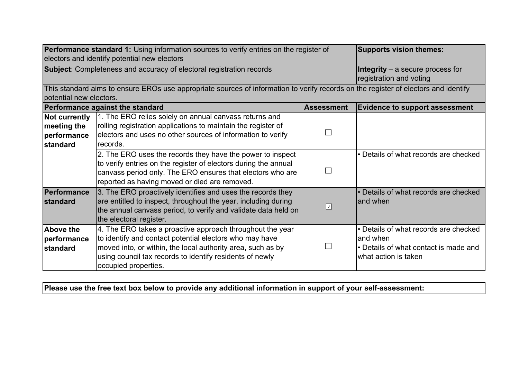|                                              | <b>Performance standard 1:</b> Using information sources to verify entries on the register of                                       |                   | <b>Supports vision themes:</b>        |
|----------------------------------------------|-------------------------------------------------------------------------------------------------------------------------------------|-------------------|---------------------------------------|
| electors and identify potential new electors |                                                                                                                                     |                   |                                       |
|                                              | <b>Subject:</b> Completeness and accuracy of electoral registration records                                                         |                   | Integrity – a secure process for      |
|                                              |                                                                                                                                     |                   | registration and voting               |
|                                              | This standard aims to ensure EROs use appropriate sources of information to verify records on the register of electors and identify |                   |                                       |
| potential new electors.                      |                                                                                                                                     |                   |                                       |
|                                              | <b>Performance against the standard</b>                                                                                             | <b>Assessment</b> | <b>Evidence to support assessment</b> |
| Not currently                                | 1. The ERO relies solely on annual canvass returns and                                                                              |                   |                                       |
| meeting the                                  | rolling registration applications to maintain the register of                                                                       |                   |                                       |
| performance                                  | electors and uses no other sources of information to verify                                                                         |                   |                                       |
| standard                                     | records.                                                                                                                            |                   |                                       |
|                                              | 2. The ERO uses the records they have the power to inspect                                                                          |                   | • Details of what records are checked |
|                                              | to verify entries on the register of electors during the annual                                                                     |                   |                                       |
|                                              | canvass period only. The ERO ensures that electors who are                                                                          | $\mathbf{L}$      |                                       |
|                                              | reported as having moved or died are removed.                                                                                       |                   |                                       |
| Performance                                  | 3. The ERO proactively identifies and uses the records they                                                                         |                   | • Details of what records are checked |
| <b>standard</b>                              | are entitled to inspect, throughout the year, including during                                                                      | $ \vee $          | land when                             |
|                                              | the annual canvass period, to verify and validate data held on                                                                      |                   |                                       |
|                                              | the electoral register.                                                                                                             |                   |                                       |
| <b>Above the</b>                             | 4. The ERO takes a proactive approach throughout the year                                                                           |                   | • Details of what records are checked |
| performance                                  | to identify and contact potential electors who may have                                                                             |                   | land when                             |
| standard                                     | moved into, or within, the local authority area, such as by                                                                         |                   | • Details of what contact is made and |
|                                              | using council tax records to identify residents of newly                                                                            |                   | what action is taken                  |
|                                              | occupied properties.                                                                                                                |                   |                                       |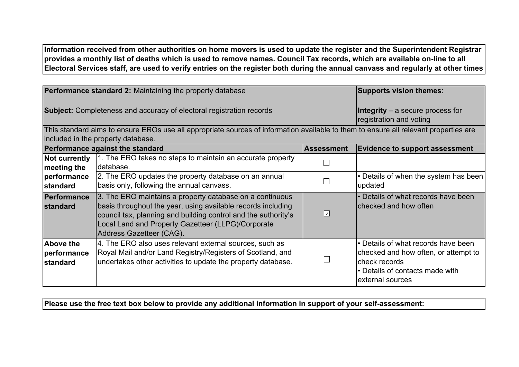Information received from other authorities on home movers is used to update the register and the Superintendent Registrar provides a monthly list of deaths which is used to remove names. Council Tax records, which are available on-line to all Electoral Services staff, are used to verify entries on the register both during the annual canvass and regularly at other times

of the year.

| <b>Performance standard 2:</b> Maintaining the property database |                                                                                                                                                                                                                                                                              |                                                                    | <b>Supports vision themes:</b>                                                                                                                        |
|------------------------------------------------------------------|------------------------------------------------------------------------------------------------------------------------------------------------------------------------------------------------------------------------------------------------------------------------------|--------------------------------------------------------------------|-------------------------------------------------------------------------------------------------------------------------------------------------------|
|                                                                  | <b>Subject:</b> Completeness and accuracy of electoral registration records                                                                                                                                                                                                  | <b>Integrity</b> – a secure process for<br>registration and voting |                                                                                                                                                       |
|                                                                  | This standard aims to ensure EROs use all appropriate sources of information available to them to ensure all relevant properties are<br>included in the property database.                                                                                                   |                                                                    |                                                                                                                                                       |
|                                                                  | Performance against the standard                                                                                                                                                                                                                                             | <b>Assessment</b>                                                  | <b>Evidence to support assessment</b>                                                                                                                 |
| Not currently<br>meeting the                                     | 1. The ERO takes no steps to maintain an accurate property<br>Idatabase.                                                                                                                                                                                                     |                                                                    |                                                                                                                                                       |
| performance<br>standard                                          | 2. The ERO updates the property database on an annual<br>basis only, following the annual canvass.                                                                                                                                                                           |                                                                    | • Details of when the system has been<br>updated                                                                                                      |
| Performance<br><b>standard</b>                                   | 3. The ERO maintains a property database on a continuous<br>basis throughout the year, using available records including<br>council tax, planning and building control and the authority's<br>Local Land and Property Gazetteer (LLPG)/Corporate<br>Address Gazetteer (CAG). | $\boxed{\textcolor{blue}{\mathcal{L}}}$                            | • Details of what records have been<br>Ichecked and how often                                                                                         |
| <b>Above the</b><br>performance<br>standard                      | 4. The ERO also uses relevant external sources, such as<br>Royal Mail and/or Land Registry/Registers of Scotland, and<br>undertakes other activities to update the property database.                                                                                        |                                                                    | • Details of what records have been<br>checked and how often, or attempt to<br>Icheck records<br>l. Details of contacts made with<br>external sources |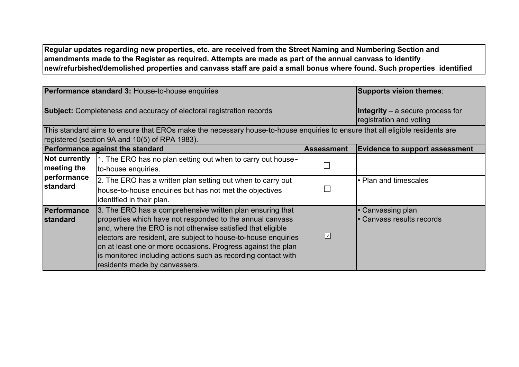Regular updates regarding new properties, etc. are received from the Street Naming and Numbering Section and amendments made to the Register as required. Attempts are made as part of the annual canvass to identify new/refurbished/demolished properties and canvass staff are paid a small bonus where found. Such properties identified

during the annual canvass and at other times are changed on the Electoral Register and notified to the LLPG Manager to

| Performance standard 3: House-to-house enquiries                            |                                                                                                                                                                                                                                                                                                                                                                                                                           | Supports vision themes:                                     |                                                |
|-----------------------------------------------------------------------------|---------------------------------------------------------------------------------------------------------------------------------------------------------------------------------------------------------------------------------------------------------------------------------------------------------------------------------------------------------------------------------------------------------------------------|-------------------------------------------------------------|------------------------------------------------|
| <b>Subject:</b> Completeness and accuracy of electoral registration records |                                                                                                                                                                                                                                                                                                                                                                                                                           | Integrity - a secure process for<br>registration and voting |                                                |
|                                                                             | This standard aims to ensure that EROs make the necessary house-to-house enquiries to ensure that all eligible residents are<br>registered (section 9A and 10(5) of RPA 1983).                                                                                                                                                                                                                                            |                                                             |                                                |
|                                                                             | Performance against the standard                                                                                                                                                                                                                                                                                                                                                                                          | <b>Assessment</b>                                           | <b>Evidence to support assessment</b>          |
| <b>Not currently</b><br>$ $ meeting the                                     | 1. The ERO has no plan setting out when to carry out house-<br>to-house enquiries.                                                                                                                                                                                                                                                                                                                                        |                                                             |                                                |
| performance<br>standard                                                     | 2. The ERO has a written plan setting out when to carry out<br>house-to-house enquiries but has not met the objectives<br>identified in their plan.                                                                                                                                                                                                                                                                       |                                                             | • Plan and timescales                          |
| <b>Performance</b><br><b>standard</b>                                       | 3. The ERO has a comprehensive written plan ensuring that<br>properties which have not responded to the annual canvass<br>and, where the ERO is not otherwise satisfied that eligible<br>electors are resident, are subject to house-to-house enquiries<br>on at least one or more occasions. Progress against the plan<br>is monitored including actions such as recording contact with<br>residents made by canvassers. | ⊡                                                           | • Canvassing plan<br>• Canvass results records |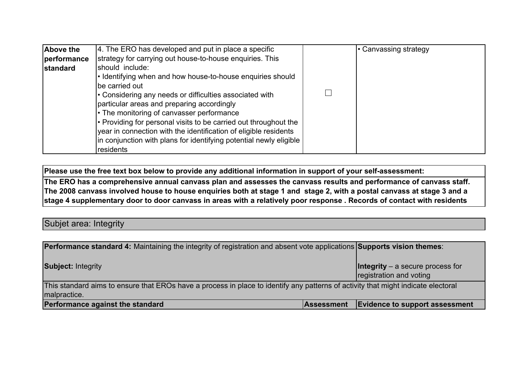| Above the       | 4. The ERO has developed and put in place a specific               | • Canvassing strategy |
|-----------------|--------------------------------------------------------------------|-----------------------|
| performance     | strategy for carrying out house-to-house enquiries. This           |                       |
| <b>standard</b> | should include:                                                    |                       |
|                 | • Identifying when and how house-to-house enquiries should         |                       |
|                 | be carried out                                                     |                       |
|                 | • Considering any needs or difficulties associated with            |                       |
|                 | particular areas and preparing accordingly                         |                       |
|                 | • The monitoring of canvasser performance                          |                       |
|                 | • Providing for personal visits to be carried out throughout the   |                       |
|                 | year in connection with the identification of eligible residents   |                       |
|                 | in conjunction with plans for identifying potential newly eligible |                       |
|                 | residents                                                          |                       |

The ERO has a comprehensive annual canvass plan and assesses the canvass results and performance of canvass staff. The 2008 canvass involved house to house enquiries both at stage 1 and stage 2, with a postal canvass at stage 3 and a stage 4 supplementary door to door canvass in areas with a relatively poor response . Records of contact with residents

were required of canvassers and are retained on file. Additionally, as part of the strategy, each year the ERO

## Subjet area: Integrity

| <b>Performance standard 4:</b> Maintaining the integrity of registration and absent vote applications Supports vision themes:                     |                   |                                                                 |
|---------------------------------------------------------------------------------------------------------------------------------------------------|-------------------|-----------------------------------------------------------------|
| <b>Subject: Integrity</b>                                                                                                                         |                   | $ $ Integrity – a secure process for<br>registration and voting |
| This standard aims to ensure that EROs have a process in place to identify any patterns of activity that might indicate electoral<br>malpractice. |                   |                                                                 |
| Performance against the standard                                                                                                                  | <b>Assessment</b> | <b>Evidence to support assessment</b>                           |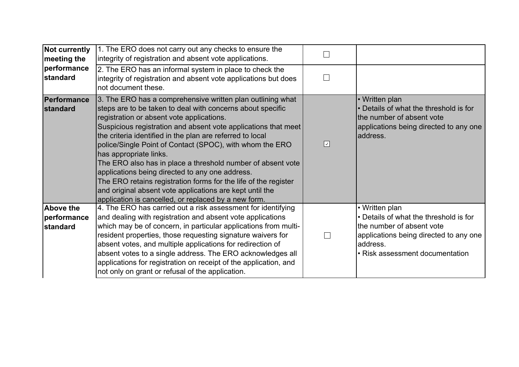| <b>Not currently</b><br>meeting the         | 1. The ERO does not carry out any checks to ensure the<br>integrity of registration and absent vote applications.                                                                                                                                                                                                                                                                                                                                                                                                                                                                                                                                                                                   |                                    |                                                                                                                                                                                |
|---------------------------------------------|-----------------------------------------------------------------------------------------------------------------------------------------------------------------------------------------------------------------------------------------------------------------------------------------------------------------------------------------------------------------------------------------------------------------------------------------------------------------------------------------------------------------------------------------------------------------------------------------------------------------------------------------------------------------------------------------------------|------------------------------------|--------------------------------------------------------------------------------------------------------------------------------------------------------------------------------|
| performance<br>standard                     | 2. The ERO has an informal system in place to check the<br>integrity of registration and absent vote applications but does<br>not document these.                                                                                                                                                                                                                                                                                                                                                                                                                                                                                                                                                   |                                    |                                                                                                                                                                                |
| Performance<br><b>standard</b>              | 3. The ERO has a comprehensive written plan outlining what<br>steps are to be taken to deal with concerns about specific<br>registration or absent vote applications.<br>Suspicious registration and absent vote applications that meet<br>the criteria identified in the plan are referred to local<br>police/Single Point of Contact (SPOC), with whom the ERO<br>has appropriate links.<br>The ERO also has in place a threshold number of absent vote<br>applications being directed to any one address.<br>The ERO retains registration forms for the life of the register<br>and original absent vote applications are kept until the<br>application is cancelled, or replaced by a new form. | $\boxed{\textcolor{blue}{\Delta}}$ | • Written plan<br>Details of what the threshold is for<br>the number of absent vote<br>applications being directed to any one<br>address.                                      |
| <b>Above the</b><br>performance<br>standard | 4. The ERO has carried out a risk assessment for identifying<br>and dealing with registration and absent vote applications<br>which may be of concern, in particular applications from multi-<br>resident properties, those requesting signature waivers for<br>absent votes, and multiple applications for redirection of<br>absent votes to a single address. The ERO acknowledges all<br>applications for registration on receipt of the application, and<br>not only on grant or refusal of the application.                                                                                                                                                                                    |                                    | • Written plan<br>• Details of what the threshold is for<br>the number of absent vote<br>applications being directed to any one<br>address.<br>• Risk assessment documentation |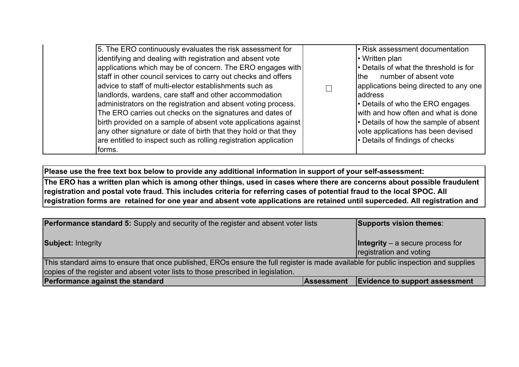| 5. The ERO continuously evaluates the risk assessment for<br>identifying and dealing with registration and absent vote                                                                                                                                                                                                                                                                                                                                                                                                                                                                              | • Risk assessment documentation<br>• Written plan                                                                                                                                                                                                                                                                         |
|-----------------------------------------------------------------------------------------------------------------------------------------------------------------------------------------------------------------------------------------------------------------------------------------------------------------------------------------------------------------------------------------------------------------------------------------------------------------------------------------------------------------------------------------------------------------------------------------------------|---------------------------------------------------------------------------------------------------------------------------------------------------------------------------------------------------------------------------------------------------------------------------------------------------------------------------|
| applications which may be of concern. The ERO engages with<br>staff in other council services to carry out checks and offers<br>advice to staff of multi-elector establishments such as<br>landlords, wardens, care staff and other accommodation<br>administrators on the registration and absent voting process.<br>The ERO carries out checks on the signatures and dates of<br>birth provided on a sample of absent vote applications against<br>any other signature or date of birth that they hold or that they<br>are entitled to inspect such as rolling registration application<br>forms. | • Details of what the threshold is for<br>number of absent vote<br>lthe<br>applications being directed to any one<br>address<br>• Details of who the ERO engages<br>with and how often and what is done<br>• Details of how the sample of absent<br>vote applications has been devised<br>• Details of findings of checks |

absent vote applications are acknowledged on receipt.

The ERO has a written plan which is among other things, used in cases where there are concerns about possible fraudulent registration and postal vote fraud. This includes criteria for referring cases of potential fraud to the local SPOC. All registration forms are retained for one year and absent vote applications are retained until superceded. All registration and

| <b>Performance standard 5:</b> Supply and security of the register and absent voter lists                                                                                                                                 |                   | Supports vision themes:                                          |
|---------------------------------------------------------------------------------------------------------------------------------------------------------------------------------------------------------------------------|-------------------|------------------------------------------------------------------|
| <b>Subject: Integrity</b>                                                                                                                                                                                                 |                   | $\ln$ thegrity – a secure process for<br>registration and voting |
| This standard aims to ensure that once published, EROs ensure the full register is made available for public inspection and supplies<br>copies of the register and absent voter lists to those prescribed in legislation. |                   |                                                                  |
| Performance against the standard                                                                                                                                                                                          | <b>Assessment</b> | Evidence to support assessment                                   |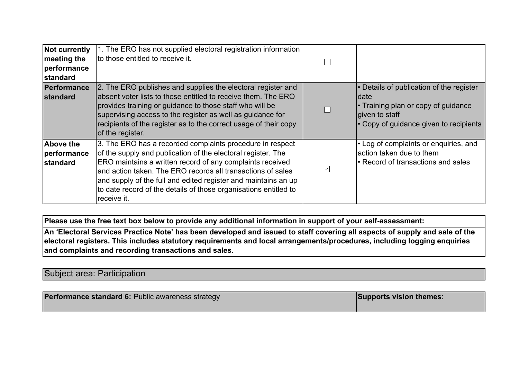| <b>Not currently</b><br>meeting the<br>performance<br><b>standard</b> | 1. The ERO has not supplied electoral registration information<br>to those entitled to receive it.                                                                                                                                                                                                                                                                                                         |                      |                                                                                                                                                      |
|-----------------------------------------------------------------------|------------------------------------------------------------------------------------------------------------------------------------------------------------------------------------------------------------------------------------------------------------------------------------------------------------------------------------------------------------------------------------------------------------|----------------------|------------------------------------------------------------------------------------------------------------------------------------------------------|
| Performance<br><b>standard</b>                                        | 2. The ERO publishes and supplies the electoral register and<br>labsent voter lists to those entitled to receive them. The ERO<br>provides training or guidance to those staff who will be<br>supervising access to the register as well as guidance for<br>recipients of the register as to the correct usage of their copy<br>of the register.                                                           |                      | • Details of publication of the register<br>Idate<br>• Training plan or copy of guidance<br>given to staff<br>• Copy of guidance given to recipients |
| <b>Above the</b><br>performance<br><b>standard</b>                    | 3. The ERO has a recorded complaints procedure in respect<br>of the supply and publication of the electoral register. The<br>ERO maintains a written record of any complaints received<br>and action taken. The ERO records all transactions of sales<br>and supply of the full and edited register and maintains an up<br>to date record of the details of those organisations entitled to<br>receive it. | $\boxed{\checkmark}$ | $\cdot$ Log of complaints or enquiries, and<br>laction taken due to them<br>l• Record of transactions and sales                                      |

An 'Electoral Services Practice Note' has been developed and issued to staff covering all aspects of supply and sale of the electoral registers. This includes statutory requirements and local arrangements/procedures, including logging enquiries and complaints and recording transactions and sales.

Subject area: Participation

| <b>Performance standard 6: Public awareness strategy</b> | <b>Supports vision themes:</b> |
|----------------------------------------------------------|--------------------------------|
|                                                          |                                |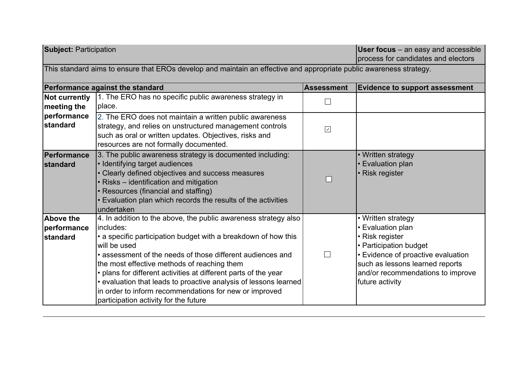| <b>Subject: Participation</b>               |                                                                                                                                                                                                                                                                                                                                                                                                                                                                                                                        |                      | <b>User focus</b> – an easy and accessible<br>process for candidates and electors                                                                                                                                     |  |  |
|---------------------------------------------|------------------------------------------------------------------------------------------------------------------------------------------------------------------------------------------------------------------------------------------------------------------------------------------------------------------------------------------------------------------------------------------------------------------------------------------------------------------------------------------------------------------------|----------------------|-----------------------------------------------------------------------------------------------------------------------------------------------------------------------------------------------------------------------|--|--|
|                                             | This standard aims to ensure that EROs develop and maintain an effective and appropriate public awareness strategy.                                                                                                                                                                                                                                                                                                                                                                                                    |                      |                                                                                                                                                                                                                       |  |  |
|                                             | Performance against the standard                                                                                                                                                                                                                                                                                                                                                                                                                                                                                       | <b>Assessment</b>    | <b>Evidence to support assessment</b>                                                                                                                                                                                 |  |  |
| <b>Not currently</b><br>meeting the         | 1. The ERO has no specific public awareness strategy in<br>place.                                                                                                                                                                                                                                                                                                                                                                                                                                                      |                      |                                                                                                                                                                                                                       |  |  |
| performance<br>standard                     | 2. The ERO does not maintain a written public awareness<br>strategy, and relies on unstructured management controls<br>such as oral or written updates. Objectives, risks and<br>resources are not formally documented.                                                                                                                                                                                                                                                                                                | $\boxed{\checkmark}$ |                                                                                                                                                                                                                       |  |  |
| Performance<br><b>standard</b>              | 3. The public awareness strategy is documented including:<br>• Identifying target audiences<br>• Clearly defined objectives and success measures<br>• Risks – identification and mitigation<br>• Resources (financial and staffing)<br>• Evaluation plan which records the results of the activities<br>undertaken                                                                                                                                                                                                     |                      | • Written strategy<br>Evaluation plan<br><b>Risk register</b>                                                                                                                                                         |  |  |
| <b>Above the</b><br>performance<br>standard | 4. In addition to the above, the public awareness strategy also<br>lincludes:<br>• a specific participation budget with a breakdown of how this<br>will be used<br>• assessment of the needs of those different audiences and<br>the most effective methods of reaching them<br>• plans for different activities at different parts of the year<br>• evaluation that leads to proactive analysis of lessons learned<br>in order to inform recommendations for new or improved<br>participation activity for the future | $\mathbf{L}$         | • Written strategy<br>• Evaluation plan<br>• Risk register<br>• Participation budget<br>• Evidence of proactive evaluation<br>such as lessons learned reports<br>and/or recommendations to improve<br>future activity |  |  |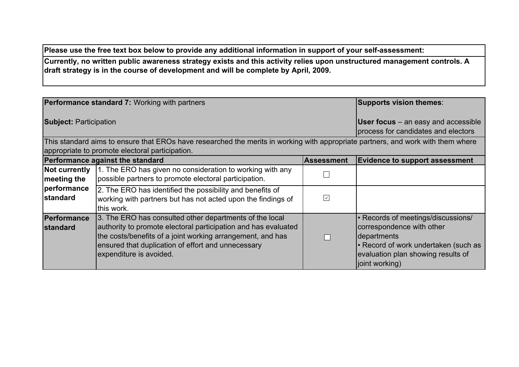Currently, no written public awareness strategy exists and this activity relies upon unstructured management controls. A draft strategy is in the course of development and will be complete by April, 2009.

|                                     | <b>Performance standard 7: Working with partners</b>                                                                                                                                                                                                                     |                      | Supports vision themes:                                                                                                                                                        |
|-------------------------------------|--------------------------------------------------------------------------------------------------------------------------------------------------------------------------------------------------------------------------------------------------------------------------|----------------------|--------------------------------------------------------------------------------------------------------------------------------------------------------------------------------|
| <b>Subject: Participation</b>       |                                                                                                                                                                                                                                                                          |                      | <b>User focus</b> – an easy and accessible<br>process for candidates and electors                                                                                              |
|                                     | This standard aims to ensure that EROs have researched the merits in working with appropriate partners, and work with them where                                                                                                                                         |                      |                                                                                                                                                                                |
|                                     | appropriate to promote electoral participation.                                                                                                                                                                                                                          |                      |                                                                                                                                                                                |
|                                     | Performance against the standard                                                                                                                                                                                                                                         | <b>Assessment</b>    | <b>Evidence to support assessment</b>                                                                                                                                          |
| <b>Not currently</b><br>meeting the | 1. The ERO has given no consideration to working with any<br>possible partners to promote electoral participation.                                                                                                                                                       |                      |                                                                                                                                                                                |
| performance<br>standard             | 2. The ERO has identified the possibility and benefits of<br>working with partners but has not acted upon the findings of<br>this work.                                                                                                                                  | $\boxed{\checkmark}$ |                                                                                                                                                                                |
| Performance<br>standard             | 3. The ERO has consulted other departments of the local<br>authority to promote electoral participation and has evaluated<br>the costs/benefits of a joint working arrangement, and has<br>ensured that duplication of effort and unnecessary<br>expenditure is avoided. |                      | • Records of meetings/discussions/<br>correspondence with other<br>departments<br>• Record of work undertaken (such as<br>evaluation plan showing results of<br>joint working) |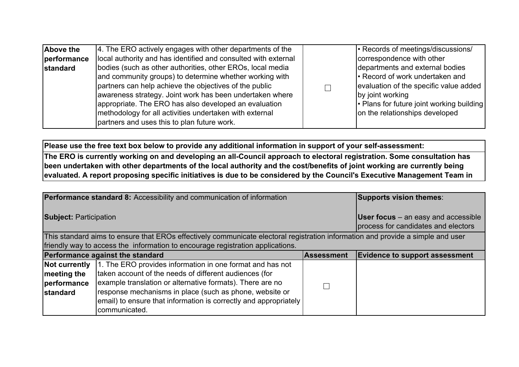| Above the<br>performance<br><b>standard</b> | 4. The ERO actively engages with other departments of the<br>local authority and has identified and consulted with external<br>bodies (such as other authorities, other EROs, local media<br>and community groups) to determine whether working with<br>partners can help achieve the objectives of the public<br>awareness strategy. Joint work has been undertaken where | • Records of meetings/discussions/<br>correspondence with other<br>departments and external bodies<br>• Record of work undertaken and<br>evaluation of the specific value added<br>by joint working |
|---------------------------------------------|----------------------------------------------------------------------------------------------------------------------------------------------------------------------------------------------------------------------------------------------------------------------------------------------------------------------------------------------------------------------------|-----------------------------------------------------------------------------------------------------------------------------------------------------------------------------------------------------|
|                                             | appropriate. The ERO has also developed an evaluation<br>methodology for all activities undertaken with external<br>partners and uses this to plan future work.                                                                                                                                                                                                            | • Plans for future joint working building  <br>on the relationships developed                                                                                                                       |

Please use the free text box below to provide any additional information in support of your self-assessment: The ERO is currently working on and developing an all-Council approach to electoral registration. Some consultation has

been undertaken with other departments of the local authority and the cost/benefits of joint working are currently being evaluated. A report proposing specific initiatives is due to be considered by the Council's Executive Management Team in

|                                                                                                                                 | Performance standard 8: Accessibility and communication of information |                                                                                     | Supports vision themes:               |
|---------------------------------------------------------------------------------------------------------------------------------|------------------------------------------------------------------------|-------------------------------------------------------------------------------------|---------------------------------------|
| <b>Subject: Participation</b>                                                                                                   |                                                                        | <b>User focus</b> $-$ an easy and accessible<br>process for candidates and electors |                                       |
| This standard aims to ensure that EROs effectively communicate electoral registration information and provide a simple and user |                                                                        |                                                                                     |                                       |
| friendly way to access the information to encourage registration applications.                                                  |                                                                        |                                                                                     |                                       |
|                                                                                                                                 | Performance against the standard                                       | <b>Assessment</b>                                                                   | <b>Evidence to support assessment</b> |
| Not currently                                                                                                                   | 1. The ERO provides information in one format and has not              |                                                                                     |                                       |
| meeting the                                                                                                                     | taken account of the needs of different audiences (for                 |                                                                                     |                                       |
| performance                                                                                                                     | example translation or alternative formats). There are no              |                                                                                     |                                       |
| <b>standard</b>                                                                                                                 | response mechanisms in place (such as phone, website or                |                                                                                     |                                       |
|                                                                                                                                 | email) to ensure that information is correctly and appropriately       |                                                                                     |                                       |
|                                                                                                                                 | communicated.                                                          |                                                                                     |                                       |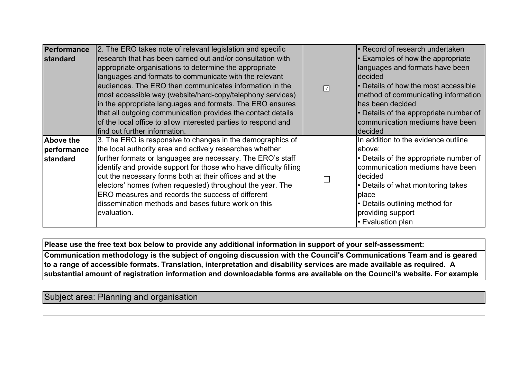| Performance<br>standard                     | 2. The ERO takes note of relevant legislation and specific<br>research that has been carried out and/or consultation with<br>appropriate organisations to determine the appropriate<br>languages and formats to communicate with the relevant<br>audiences. The ERO then communicates information in the<br>most accessible way (website/hard-copy/telephony services)<br>in the appropriate languages and formats. The ERO ensures<br>that all outgoing communication provides the contact details<br>of the local office to allow interested parties to respond and<br>find out further information. | $\boxed{\vee}$ | • Record of research undertaken<br>• Examples of how the appropriate<br>languages and formats have been<br><b>decided</b><br>• Details of how the most accessible<br>method of communicating information<br>has been decided<br>• Details of the appropriate number of<br>communication mediums have been<br>decided |
|---------------------------------------------|--------------------------------------------------------------------------------------------------------------------------------------------------------------------------------------------------------------------------------------------------------------------------------------------------------------------------------------------------------------------------------------------------------------------------------------------------------------------------------------------------------------------------------------------------------------------------------------------------------|----------------|----------------------------------------------------------------------------------------------------------------------------------------------------------------------------------------------------------------------------------------------------------------------------------------------------------------------|
| <b>Above the</b><br>performance<br>standard | 3. The ERO is responsive to changes in the demographics of<br>the local authority area and actively researches whether<br>further formats or languages are necessary. The ERO's staff<br>identify and provide support for those who have difficulty filling<br>out the necessary forms both at their offices and at the<br>electors' homes (when requested) throughout the year. The<br>ERO measures and records the success of different<br>dissemination methods and bases future work on this<br>evaluation.                                                                                        |                | In addition to the evidence outline<br>labove:<br>• Details of the appropriate number of<br>communication mediums have been<br>decided<br>• Details of what monitoring takes<br>place<br>• Details outlining method for<br>providing support<br>• Evaluation plan                                                    |

Communication methodology is the subject of ongoing discussion with the Council's Communications Team and is geared to a range of accessible formats. Translation, interpretation and disability services are made available as required.  $\,$  A substantial amount of registration information and downloadable forms are available on the Council's website. For example

a 'You're right to vote' colour leaflet is delivered as part of the annual canvass to every provides for translated as  $\alpha$ 

Subject area: Planning and organisation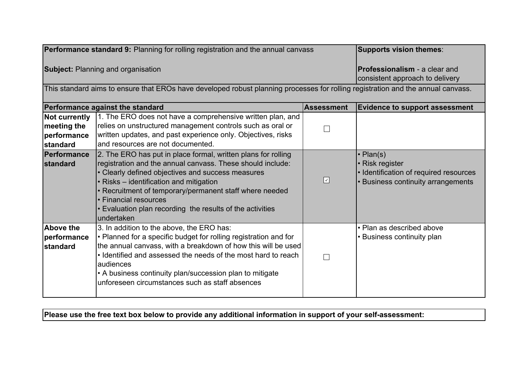| <b>Performance standard 9:</b> Planning for rolling registration and the annual canvass                                          |                                                                                                                                                                                                                                                                                                                                                                                            | Supports vision themes:                                                 |                                                                                                                   |
|----------------------------------------------------------------------------------------------------------------------------------|--------------------------------------------------------------------------------------------------------------------------------------------------------------------------------------------------------------------------------------------------------------------------------------------------------------------------------------------------------------------------------------------|-------------------------------------------------------------------------|-------------------------------------------------------------------------------------------------------------------|
| <b>Subject: Planning and organisation</b>                                                                                        |                                                                                                                                                                                                                                                                                                                                                                                            | <b>Professionalism</b> - a clear and<br>consistent approach to delivery |                                                                                                                   |
| This standard aims to ensure that EROs have developed robust planning processes for rolling registration and the annual canvass. |                                                                                                                                                                                                                                                                                                                                                                                            |                                                                         |                                                                                                                   |
|                                                                                                                                  | Performance against the standard                                                                                                                                                                                                                                                                                                                                                           | <b>Assessment</b>                                                       | <b>Evidence to support assessment</b>                                                                             |
| <b>Not currently</b><br>meeting the<br>performance<br>standard                                                                   | 1. The ERO does not have a comprehensive written plan, and<br>relies on unstructured management controls such as oral or<br>written updates, and past experience only. Objectives, risks<br>and resources are not documented.                                                                                                                                                              |                                                                         |                                                                                                                   |
| Performance<br><b>standard</b>                                                                                                   | 2. The ERO has put in place formal, written plans for rolling<br>registration and the annual canvass. These should include:<br>• Clearly defined objectives and success measures<br>• Risks - identification and mitigation<br>• Recruitment of temporary/permanent staff where needed<br>• Financial resources<br>• Evaluation plan recording the results of the activities<br>undertaken | $\boxed{\mathcal{S}}$                                                   | • Plan(s)<br>• Risk register<br>• Identification of required resources<br><b>Business continuity arrangements</b> |
| <b>Above the</b><br>performance<br>standard                                                                                      | 3. In addition to the above, the ERO has:<br>$\cdot$ Planned for a specific budget for rolling registration and for<br>the annual canvass, with a breakdown of how this will be used<br>• Identified and assessed the needs of the most hard to reach<br>audiences<br>• A business continuity plan/succession plan to mitigate<br>unforeseen circumstances such as staff absences          |                                                                         | • Plan as described above<br>• Business continuity plan                                                           |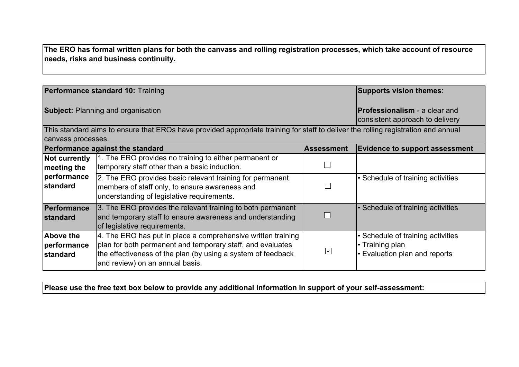The ERO has formal written plans for both the canvass and rolling registration processes, which take account of resource needs, risks and business continuity.

|                                             | Performance standard 10: Training                                                                                                                                                                                             |                   | Supports vision themes:                                                             |
|---------------------------------------------|-------------------------------------------------------------------------------------------------------------------------------------------------------------------------------------------------------------------------------|-------------------|-------------------------------------------------------------------------------------|
| <b>Subject: Planning and organisation</b>   |                                                                                                                                                                                                                               |                   | <b>Professionalism</b> - a clear and<br>consistent approach to delivery             |
|                                             | This standard aims to ensure that EROs have provided appropriate training for staff to deliver the rolling registration and annual                                                                                            |                   |                                                                                     |
| canvass processes.                          |                                                                                                                                                                                                                               |                   |                                                                                     |
|                                             | <b>Performance against the standard</b>                                                                                                                                                                                       | <b>Assessment</b> | <b>Evidence to support assessment</b>                                               |
| <b>Not currently</b><br>$ $ meeting the     | 1. The ERO provides no training to either permanent or<br>temporary staff other than a basic induction.                                                                                                                       |                   |                                                                                     |
| performance<br><b>standard</b>              | 2. The ERO provides basic relevant training for permanent<br>members of staff only, to ensure awareness and<br>understanding of legislative requirements.                                                                     |                   | • Schedule of training activities                                                   |
| <b>Performance</b><br><b>standard</b>       | 3. The ERO provides the relevant training to both permanent<br>and temporary staff to ensure awareness and understanding<br>of legislative requirements.                                                                      |                   | • Schedule of training activities                                                   |
| <b>Above the</b><br>performance<br>standard | 4. The ERO has put in place a comprehensive written training<br>plan for both permanent and temporary staff, and evaluates<br>the effectiveness of the plan (by using a system of feedback<br>and review) on an annual basis. | $\vee$            | • Schedule of training activities<br>• Training plan<br>Evaluation plan and reports |